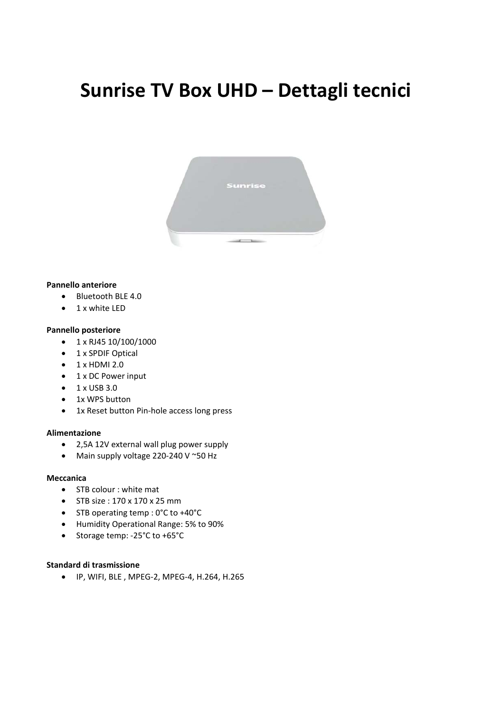# **Sunrise TV Box UHD – Dettagli tecnici**



## **Pannello anteriore**

- Bluetooth BLE 4.0
- 1 x white LED

#### **Pannello posteriore**

- $\bullet$  1 x RJ45 10/100/1000
- 1 x SPDIF Optical
- $\bullet$  1 x HDMI 2.0
- $\bullet$  1 x DC Power input
- $\bullet$  1 x USB 3.0
- 1x WPS button
- 1x Reset button Pin-hole access long press

# **Alimentazione**

- 2,5A 12V external wall plug power supply
- Main supply voltage 220‐240 V ~50 Hz

#### **Meccanica**

- STB colour : white mat
- STB size: 170 x 170 x 25 mm
- STB operating temp : 0°C to +40°C
- Humidity Operational Range: 5% to 90%
- Storage temp: -25°C to +65°C

#### **Standard di trasmissione**

IP, WIFI, BLE , MPEG‐2, MPEG‐4, H.264, H.265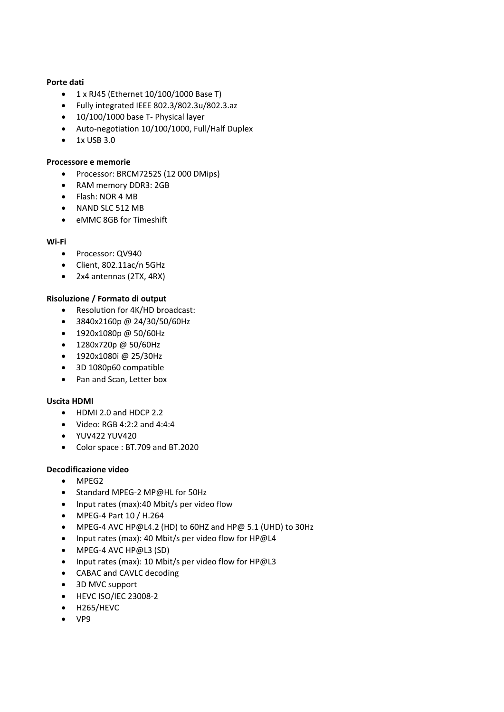#### **Porte dati**

- 1 x RJ45 (Ethernet 10/100/1000 Base T)
- Fully integrated IEEE 802.3/802.3u/802.3.az
- 10/100/1000 base T- Physical layer
- Auto-negotiation 10/100/1000, Full/Half Duplex
- $\bullet$  1x USB 3.0

## **Processore e memorie**

- Processor: BRCM7252S (12 000 DMips)
- RAM memory DDR3: 2GB
- Flash: NOR 4 MB
- NAND SLC 512 MB
- eMMC 8GB for Timeshift

## **Wi‐Fi**

- Processor: QV940
- Client, 802.11ac/n 5GHz
- 2x4 antennas (2TX, 4RX)

# **Risoluzione / Formato di output**

- Resolution for 4K/HD broadcast:
- 3840x2160p @ 24/30/50/60Hz
- 1920x1080p @ 50/60Hz
- 1280x720p @ 50/60Hz
- 1920x1080i @ 25/30Hz
- 3D 1080p60 compatible
- Pan and Scan, Letter box

## **Uscita HDMI**

- HDMI 2.0 and HDCP 2.2
- Video: RGB 4:2:2 and 4:4:4
- YUV422 YUV420
- Color space : BT.709 and BT.2020

## **Decodificazione video**

- MPEG2
- Standard MPEG-2 MP@HL for 50Hz
- Input rates (max):40 Mbit/s per video flow
- MPEG‐4 Part 10 / H.264
- MPEG-4 AVC HP@L4.2 (HD) to 60HZ and HP@ 5.1 (UHD) to 30Hz
- Input rates (max): 40 Mbit/s per video flow for HP@L4
- MPEG-4 AVC HP@L3 (SD)
- Input rates (max): 10 Mbit/s per video flow for HP@L3
- CABAC and CAVLC decoding
- 3D MVC support
- HEVC ISO/IEC 23008-2
- $-H265/HEVC$
- $\bullet$  VP9